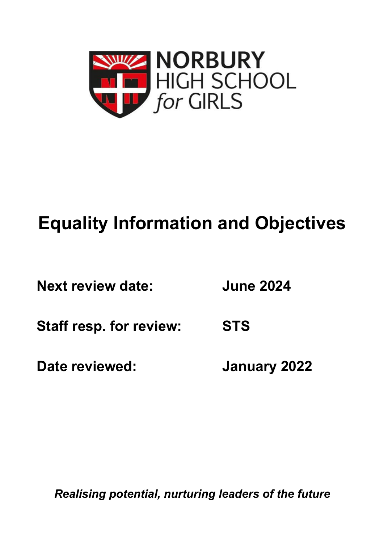

# **Equality Information and Objectives**

| <b>Next review date:</b> | <b>June 2024</b> |
|--------------------------|------------------|
|                          |                  |

**Staff resp. for review: STS**

**Date reviewed: January 2022**

*Realising potential, nurturing leaders of the future*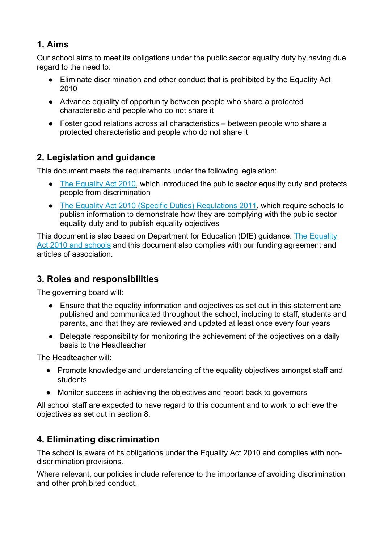#### **1. Aims**

Our school aims to meet its obligations under the public sector equality duty by having due regard to the need to:

- Eliminate discrimination and other conduct that is prohibited by the Equality Act 2010
- Advance equality of opportunity between people who share a protected characteristic and people who do not share it
- Foster good relations across all characteristics between people who share a protected characteristic and people who do not share it

### **2. Legislation and guidance**

This document meets the requirements under the following legislation:

- The Equality Act 2010, which introduced the public sector equality duty and protects people from discrimination
- The Equality Act 2010 (Specific Duties) Regulations 2011, which require schools to publish information to demonstrate how they are complying with the public sector equality duty and to publish equality objectives

This document is also based on Department for Education (DfE) guidance: The Equality Act 2010 and schools and this document also complies with our funding agreement and articles of association.

#### **3. Roles and responsibilities**

The governing board will:

- Ensure that the equality information and objectives as set out in this statement are published and communicated throughout the school, including to staff, students and parents, and that they are reviewed and updated at least once every four years
- Delegate responsibility for monitoring the achievement of the objectives on a daily basis to the Headteacher

The Headteacher will:

- Promote knowledge and understanding of the equality objectives amongst staff and students
- Monitor success in achieving the objectives and report back to governors

All school staff are expected to have regard to this document and to work to achieve the objectives as set out in section 8.

## **4. Eliminating discrimination**

The school is aware of its obligations under the Equality Act 2010 and complies with nondiscrimination provisions.

Where relevant, our policies include reference to the importance of avoiding discrimination and other prohibited conduct.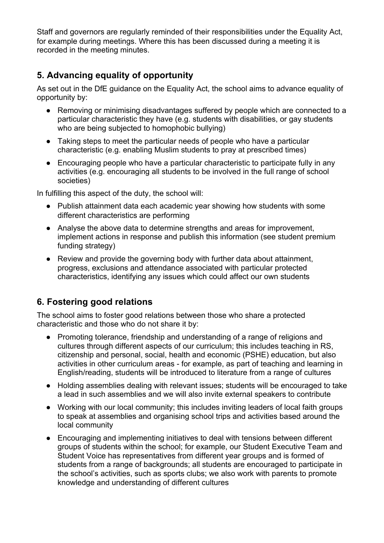Staff and governors are regularly reminded of their responsibilities under the Equality Act, for example during meetings. Where this has been discussed during a meeting it is recorded in the meeting minutes.

#### **5. Advancing equality of opportunity**

As set out in the DfE guidance on the Equality Act, the school aims to advance equality of opportunity by:

- Removing or minimising disadvantages suffered by people which are connected to a particular characteristic they have (e.g. students with disabilities, or gay students who are being subjected to homophobic bullying)
- Taking steps to meet the particular needs of people who have a particular characteristic (e.g. enabling Muslim students to pray at prescribed times)
- Encouraging people who have a particular characteristic to participate fully in any activities (e.g. encouraging all students to be involved in the full range of school societies)

In fulfilling this aspect of the duty, the school will:

- Publish attainment data each academic year showing how students with some different characteristics are performing
- Analyse the above data to determine strengths and areas for improvement, implement actions in response and publish this information (see student premium funding strategy)
- Review and provide the governing body with further data about attainment, progress, exclusions and attendance associated with particular protected characteristics, identifying any issues which could affect our own students

#### **6. Fostering good relations**

The school aims to foster good relations between those who share a protected characteristic and those who do not share it by:

- Promoting tolerance, friendship and understanding of a range of religions and cultures through different aspects of our curriculum; this includes teaching in RS, citizenship and personal, social, health and economic (PSHE) education, but also activities in other curriculum areas - for example, as part of teaching and learning in English/reading, students will be introduced to literature from a range of cultures
- Holding assemblies dealing with relevant issues; students will be encouraged to take a lead in such assemblies and we will also invite external speakers to contribute
- Working with our local community; this includes inviting leaders of local faith groups to speak at assemblies and organising school trips and activities based around the local community
- Encouraging and implementing initiatives to deal with tensions between different groups of students within the school; for example, our Student Executive Team and Student Voice has representatives from different year groups and is formed of students from a range of backgrounds; all students are encouraged to participate in the school's activities, such as sports clubs; we also work with parents to promote knowledge and understanding of different cultures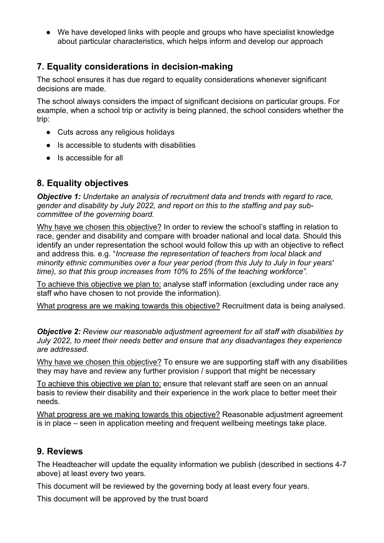● We have developed links with people and groups who have specialist knowledge about particular characteristics, which helps inform and develop our approach

### **7. Equality considerations in decision-making**

The school ensures it has due regard to equality considerations whenever significant decisions are made.

The school always considers the impact of significant decisions on particular groups. For example, when a school trip or activity is being planned, the school considers whether the trip:

- Cuts across any religious holidays
- Is accessible to students with disabilities
- Is accessible for all

#### **8. Equality objectives**

*Objective 1: Undertake an analysis of recruitment data and trends with regard to race, gender and disability by July 2022, and report on this to the staffing and pay subcommittee of the governing board.*

Why have we chosen this objective? In order to review the school's staffing in relation to race, gender and disability and compare with broader national and local data. Should this identify an under representation the school would follow this up with an objective to reflect and address this. e.g. "*Increase the representation of teachers from local black and minority ethnic communities over a four year period (from this July to July in four years' time), so that this group increases from 10% to 25% of the teaching workforce".*

To achieve this objective we plan to: analyse staff information (excluding under race any staff who have chosen to not provide the information).

What progress are we making towards this objective? Recruitment data is being analysed.

*Objective 2: Review our reasonable adjustment agreement for all staff with disabilities by July 2022, to meet their needs better and ensure that any disadvantages they experience are addressed.*

Why have we chosen this objective? To ensure we are supporting staff with any disabilities they may have and review any further provision / support that might be necessary

To achieve this objective we plan to: ensure that relevant staff are seen on an annual basis to review their disability and their experience in the work place to better meet their needs.

What progress are we making towards this objective? Reasonable adjustment agreement is in place – seen in application meeting and frequent wellbeing meetings take place.

#### **9. Reviews**

The Headteacher will update the equality information we publish (described in sections 4-7 above) at least every two years.

This document will be reviewed by the governing body at least every four years.

This document will be approved by the trust board